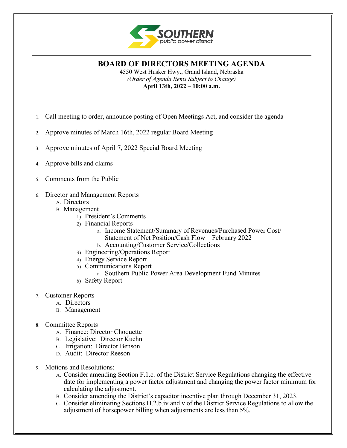

**BOARD OF DIRECTORS MEETING AGENDA** 4550 West Husker Hwy., Grand Island, Nebraska *(Order of Agenda Items Subject to Change)*

**April 13th, 2022 – 10:00 a.m.**

- 1. Call meeting to order, announce posting of Open Meetings Act, and consider the agenda
- 2. Approve minutes of March 16th, 2022 regular Board Meeting
- 3. Approve minutes of April 7, 2022 Special Board Meeting
- 4. Approve bills and claims
- 5. Comments from the Public
- 6. Director and Management Reports
	- A. Directors
	- B. Management
		- 1) President's Comments
		- 2) Financial Reports
			- a. Income Statement/Summary of Revenues/Purchased Power Cost/ Statement of Net Position/Cash Flow – February 2022
			- b. Accounting/Customer Service/Collections
		- 3) Engineering/Operations Report
		- 4) Energy Service Report
		- 5) Communications Report
			- a. Southern Public Power Area Development Fund Minutes
		- 6) Safety Report
- 7. Customer Reports
	- A. Directors
	- B. Management
- 8. Committee Reports
	- A. Finance: Director Choquette
	- B. Legislative: Director Kuehn
	- C. Irrigation: Director Benson
	- D. Audit: Director Reeson
- 9. Motions and Resolutions:
	- A. Consider amending Section F.1.c. of the District Service Regulations changing the effective date for implementing a power factor adjustment and changing the power factor minimum for calculating the adjustment.
	- B. Consider amending the District's capacitor incentive plan through December 31, 2023.
	- C. Consider eliminating Sections H.2.b.iv and v of the District Service Regulations to allow the adjustment of horsepower billing when adjustments are less than 5%.